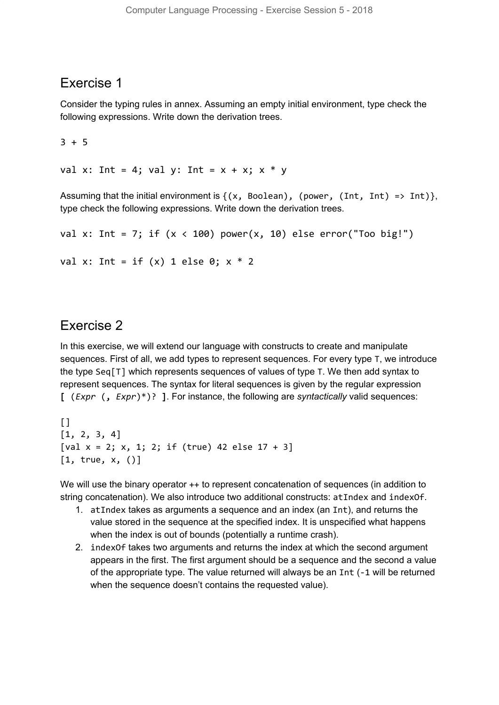## Exercise 1

Consider the typing rules in annex. Assuming an empty initial environment, type check the following expressions. Write down the derivation trees.

 $3 + 5$ 

val x: Int = 4; val y: Int =  $x + x$ ;  $x * y$ 

Assuming that the initial environment is  $\{(x, Boolean), (power, (Int, Int) = > Int)\},\$ type check the following expressions. Write down the derivation trees.

```
val x: Int = 7; if (x < 100) power(x, 10) else error("Too big!")
val x: Int = if (x) 1 else 0; x * 2
```
## Exercise 2

In this exercise, we will extend our language with constructs to create and manipulate sequences. First of all, we add types to represent sequences. For every type T, we introduce the type Seq[T] which represents sequences of values of type T. We then add syntax to represent sequences. The syntax for literal sequences is given by the regular expression **[** (*Expr* (**,** *Expr*)\*)? **]**. For instance, the following are *syntactically* valid sequences:

```
[]
[1, 2, 3, 4][val x = 2; x, 1; 2; if (true) 42 else 17 + 3][1, true, x, ()]
```
We will use the binary operator  $++$  to represent concatenation of sequences (in addition to string concatenation). We also introduce two additional constructs: at Index and index Of.

- 1. atIndex takes as arguments a sequence and an index (an Int), and returns the value stored in the sequence at the specified index. It is unspecified what happens when the index is out of bounds (potentially a runtime crash).
- 2. indexOf takes two arguments and returns the index at which the second argument appears in the first. The first argument should be a sequence and the second a value of the appropriate type. The value returned will always be an Int (-1 will be returned when the sequence doesn't contains the requested value).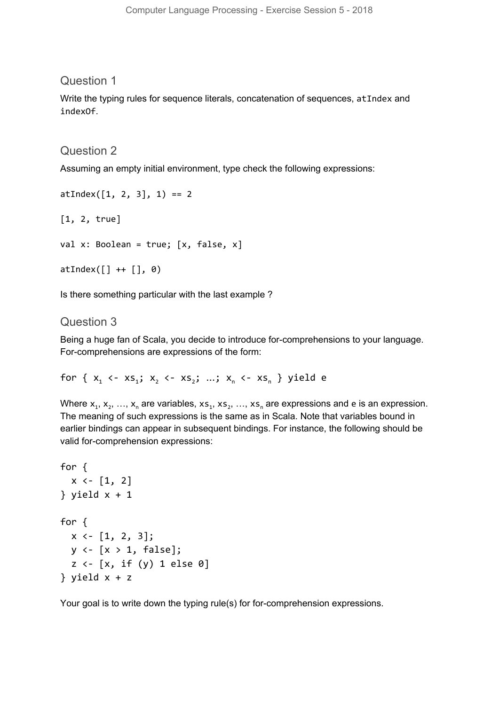Question 1

Write the typing rules for sequence literals, concatenation of sequences, atIndex and indexOf.

Question 2

Assuming an empty initial environment, type check the following expressions:

```
atIndex([1, 2, 3], 1) == 2[1, 2, true]
val x: Boolean = true; [x, false, x]atIndex([ ] ++ [ ], 0)
```
Is there something particular with the last example ?

## Question 3

Being a huge fan of Scala, you decide to introduce for-comprehensions to your language. For-comprehensions are expressions of the form:

for {  $x_1$  <-  $xs_1$ ;  $x_2$  <-  $xs_2$ ; ...;  $x_n$  <-  $xs_n$  } yield e

Where  $x_1, x_2, ..., x_n$  are variables,  $xs_1, xs_2, ..., xs_n$  are expressions and e is an expression. The meaning of such expressions is the same as in Scala. Note that variables bound in earlier bindings can appear in subsequent bindings. For instance, the following should be valid for-comprehension expressions:

```
for {
  x \leftarrow [1, 2]} yield x + 1for {
  x \leftarrow [1, 2, 3];y \leftarrow [x > 1, false];
  z \leftarrow [x, if (y) 1 else 0]} yield x + z
```
Your goal is to write down the typing rule(s) for for-comprehension expressions.